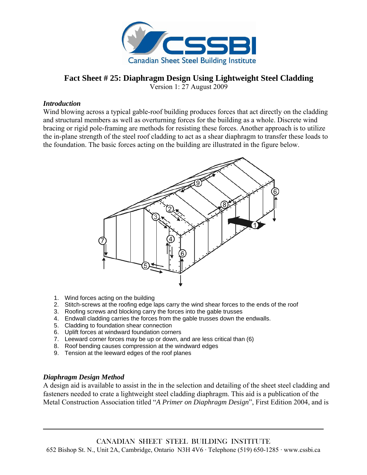

# **Fact Sheet # 25: Diaphragm Design Using Lightweight Steel Cladding**

Version 1: 27 August 2009

#### *Introduction*

Wind blowing across a typical gable-roof building produces forces that act directly on the cladding and structural members as well as overturning forces for the building as a whole. Discrete wind bracing or rigid pole-framing are methods for resisting these forces. Another approach is to utilize the in-plane strength of the steel roof cladding to act as a shear diaphragm to transfer these loads to the foundation. The basic forces acting on the building are illustrated in the figure below.



- 1. Wind forces acting on the building
- 2. Stitch-screws at the roofing edge laps carry the wind shear forces to the ends of the roof
- 3. Roofing screws and blocking carry the forces into the gable trusses
- 4. Endwall cladding carries the forces from the gable trusses down the endwalls.
- 5. Cladding to foundation shear connection
- 6. Uplift forces at windward foundation corners
- 7. Leeward corner forces may be up or down, and are less critical than (6)
- 8. Roof bending causes compression at the windward edges
- 9. Tension at the leeward edges of the roof planes

#### *Diaphragm Design Method*

A design aid is available to assist in the in the selection and detailing of the sheet steel cladding and fasteners needed to crate a lightweight steel cladding diaphragm. This aid is a publication of the Metal Construction Association titled "*A Primer on Diaphragm Design*", First Edition 2004, and is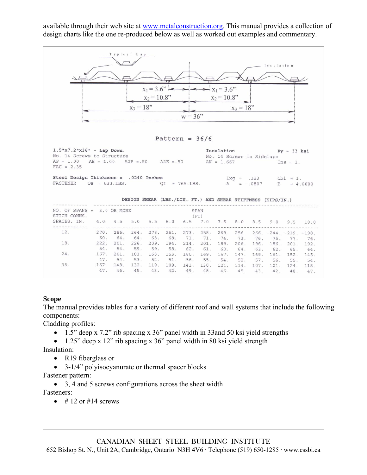available through their web site at www.metalconstruction.org. This manual provides a collection of design charts like the one re-produced below as well as worked out examples and commentary.



### **Scope**

The manual provides tables for a variety of different roof and wall systems that include the following components:

Cladding profiles:

- 1.5" deep x 7.2" rib spacing x 36" panel width in 33and 50 ksi yield strengths
- 1.25" deep x 12" rib spacing x 36" panel width in 80 ksi yield strength

Insulation:

- R19 fiberglass or
- 3-1/4" polyisocyanurate or thermal spacer blocks

Fastener pattern:

• 3, 4 and 5 screws configurations across the sheet width

Fasteners:

 $\bullet$  # 12 or #14 screws